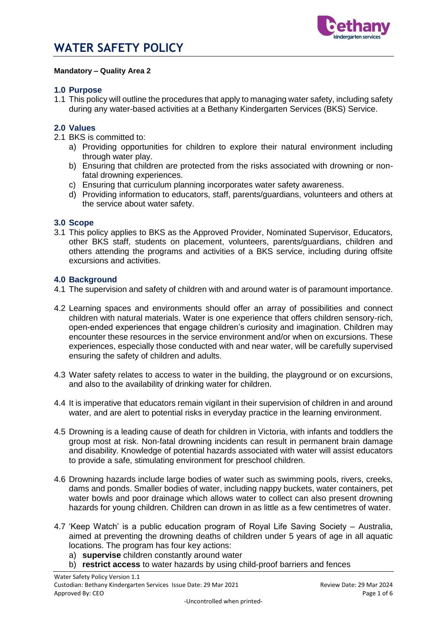

### **Mandatory – Quality Area 2**

## **1.0 Purpose**

1.1 This policy will outline the procedures that apply to managing water safety, including safety during any water-based activities at a Bethany Kindergarten Services (BKS) Service.

## **2.0 Values**

- 2.1 BKS is committed to:
	- a) Providing opportunities for children to explore their natural environment including through water play.
	- b) Ensuring that children are protected from the risks associated with drowning or nonfatal drowning experiences.
	- c) Ensuring that curriculum planning incorporates water safety awareness.
	- d) Providing information to educators, staff, parents/guardians, volunteers and others at the service about water safety.

### **3.0 Scope**

3.1 This policy applies to BKS as the Approved Provider, Nominated Supervisor, Educators, other BKS staff, students on placement, volunteers, parents/guardians, children and others attending the programs and activities of a BKS service, including during offsite excursions and activities.

### **4.0 Background**

- 4.1 The supervision and safety of children with and around water is of paramount importance.
- 4.2 Learning spaces and environments should offer an array of possibilities and connect children with natural materials. Water is one experience that offers children sensory-rich, open-ended experiences that engage children's curiosity and imagination. Children may encounter these resources in the service environment and/or when on excursions. These experiences, especially those conducted with and near water, will be carefully supervised ensuring the safety of children and adults.
- 4.3 Water safety relates to access to water in the building, the playground or on excursions, and also to the availability of drinking water for children.
- 4.4 It is imperative that educators remain vigilant in their supervision of children in and around water, and are alert to potential risks in everyday practice in the learning environment.
- 4.5 Drowning is a leading cause of death for children in Victoria, with infants and toddlers the group most at risk. Non-fatal drowning incidents can result in permanent brain damage and disability. Knowledge of potential hazards associated with water will assist educators to provide a safe, stimulating environment for preschool children.
- 4.6 Drowning hazards include large bodies of water such as swimming pools, rivers, creeks, dams and ponds. Smaller bodies of water, including nappy buckets, water containers, pet water bowls and poor drainage which allows water to collect can also present drowning hazards for young children. Children can drown in as little as a few centimetres of water.
- 4.7 'Keep Watch' is a public education program of Royal Life Saving Society Australia, aimed at preventing the drowning deaths of children under 5 years of age in all aquatic locations. The program has four key actions:
	- a) **supervise** children constantly around water
	- b) **restrict access** to water hazards by using child-proof barriers and fences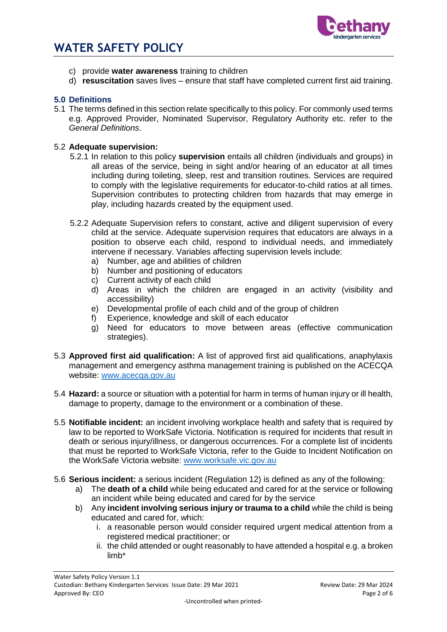

- c) provide **water awareness** training to children
- d) **resuscitation** saves lives ensure that staff have completed current first aid training.

## **5.0 Definitions**

5.1 The terms defined in this section relate specifically to this policy. For commonly used terms e.g. Approved Provider, Nominated Supervisor, Regulatory Authority etc. refer to the *General Definitions*.

## 5.2 **Adequate supervision:**

- 5.2.1 In relation to this policy **supervision** entails all children (individuals and groups) in all areas of the service, being in sight and/or hearing of an educator at all times including during toileting, sleep, rest and transition routines. Services are required to comply with the legislative requirements for educator-to-child ratios at all times. Supervision contributes to protecting children from hazards that may emerge in play, including hazards created by the equipment used.
- 5.2.2 Adequate Supervision refers to constant, active and diligent supervision of every child at the service. Adequate supervision requires that educators are always in a position to observe each child, respond to individual needs, and immediately intervene if necessary. Variables affecting supervision levels include:
	- a) Number, age and abilities of children
	- b) Number and positioning of educators
	- c) Current activity of each child
	- d) Areas in which the children are engaged in an activity (visibility and accessibility)
	- e) Developmental profile of each child and of the group of children
	- f) Experience, knowledge and skill of each educator
	- g) Need for educators to move between areas (effective communication strategies).
- 5.3 **Approved first aid qualification:** A list of approved first aid qualifications, anaphylaxis management and emergency asthma management training is published on the ACECQA website: [www.acecqa.gov.au](http://www.acecqa.gov.au/)
- 5.4 **Hazard:** a source or situation with a potential for harm in terms of human injury or ill health, damage to property, damage to the environment or a combination of these.
- 5.5 **Notifiable incident:** an incident involving workplace health and safety that is required by law to be reported to WorkSafe Victoria. Notification is required for incidents that result in death or serious injury/illness, or dangerous occurrences. For a complete list of incidents that must be reported to WorkSafe Victoria, refer to the Guide to Incident Notification on the WorkSafe Victoria website: [www.worksafe.vic.gov.au](http://www.worksafe.vic.gov.au/)
- 5.6 **Serious incident:** a serious incident (Regulation 12) is defined as any of the following:
	- a) The **death of a child** while being educated and cared for at the service or following an incident while being educated and cared for by the service
	- b) Any **incident involving serious injury or trauma to a child** while the child is being educated and cared for, which:
		- i. a reasonable person would consider required urgent medical attention from a registered medical practitioner; or
		- ii. the child attended or ought reasonably to have attended a hospital e.g. a broken limb\*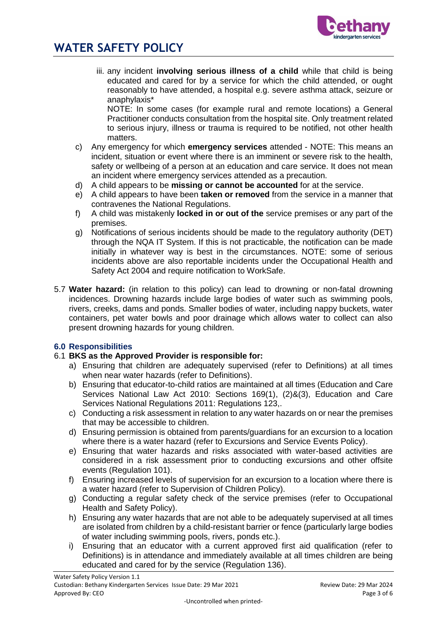



iii. any incident **involving serious illness of a child** while that child is being educated and cared for by a service for which the child attended, or ought reasonably to have attended, a hospital e.g. severe asthma attack, seizure or anaphylaxis\*

NOTE: In some cases (for example rural and remote locations) a General Practitioner conducts consultation from the hospital site. Only treatment related to serious injury, illness or trauma is required to be notified, not other health matters.

- c) Any emergency for which **emergency services** attended NOTE: This means an incident, situation or event where there is an imminent or severe risk to the health, safety or wellbeing of a person at an education and care service. It does not mean an incident where emergency services attended as a precaution.
- d) A child appears to be **missing or cannot be accounted** for at the service.
- e) A child appears to have been **taken or removed** from the service in a manner that contravenes the National Regulations.
- f) A child was mistakenly **locked in or out of the** service premises or any part of the premises.
- g) Notifications of serious incidents should be made to the regulatory authority (DET) through the NQA IT System. If this is not practicable, the notification can be made initially in whatever way is best in the circumstances. NOTE: some of serious incidents above are also reportable incidents under the Occupational Health and Safety Act 2004 and require notification to WorkSafe.
- 5.7 **Water hazard:** (in relation to this policy) can lead to drowning or non-fatal drowning incidences. Drowning hazards include large bodies of water such as swimming pools, rivers, creeks, dams and ponds. Smaller bodies of water, including nappy buckets, water containers, pet water bowls and poor drainage which allows water to collect can also present drowning hazards for young children.

# **6.0 Responsibilities**

## 6.1 **BKS as the Approved Provider is responsible for:**

- a) Ensuring that children are adequately supervised (refer to Definitions) at all times when near water hazards (refer to Definitions).
- b) Ensuring that educator-to-child ratios are maintained at all times (Education and Care Services National Law Act 2010: Sections 169(1), (2)&(3), Education and Care Services National Regulations 2011: Regulations 123,.
- c) Conducting a risk assessment in relation to any water hazards on or near the premises that may be accessible to children.
- d) Ensuring permission is obtained from parents/guardians for an excursion to a location where there is a water hazard (refer to Excursions and Service Events Policy).
- e) Ensuring that water hazards and risks associated with water-based activities are considered in a risk assessment prior to conducting excursions and other offsite events (Regulation 101).
- f) Ensuring increased levels of supervision for an excursion to a location where there is a water hazard (refer to Supervision of Children Policy).
- g) Conducting a regular safety check of the service premises (refer to Occupational Health and Safety Policy).
- h) Ensuring any water hazards that are not able to be adequately supervised at all times are isolated from children by a child-resistant barrier or fence (particularly large bodies of water including swimming pools, rivers, ponds etc.).
- i) Ensuring that an educator with a current approved first aid qualification (refer to Definitions) is in attendance and immediately available at all times children are being educated and cared for by the service (Regulation 136).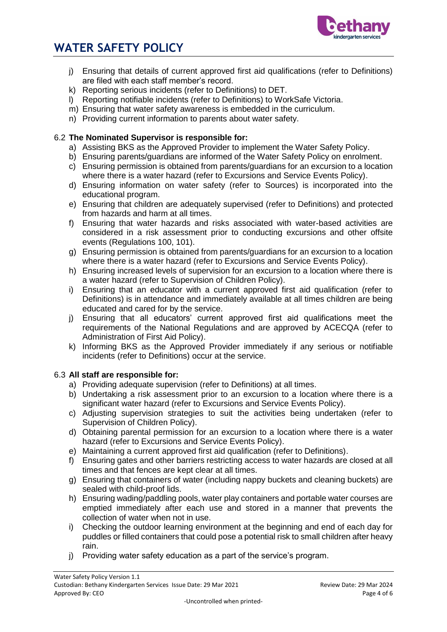

# **WATER SAFETY POLICY**

- j) Ensuring that details of current approved first aid qualifications (refer to Definitions) are filed with each staff member's record.
- k) Reporting serious incidents (refer to Definitions) to DET.
- l) Reporting notifiable incidents (refer to Definitions) to WorkSafe Victoria.
- m) Ensuring that water safety awareness is embedded in the curriculum.
- n) Providing current information to parents about water safety.

# 6.2 **The Nominated Supervisor is responsible for:**

- a) Assisting BKS as the Approved Provider to implement the Water Safety Policy.
- b) Ensuring parents/guardians are informed of the Water Safety Policy on enrolment.
- c) Ensuring permission is obtained from parents/guardians for an excursion to a location where there is a water hazard (refer to Excursions and Service Events Policy).
- d) Ensuring information on water safety (refer to Sources) is incorporated into the educational program.
- e) Ensuring that children are adequately supervised (refer to Definitions) and protected from hazards and harm at all times.
- f) Ensuring that water hazards and risks associated with water-based activities are considered in a risk assessment prior to conducting excursions and other offsite events (Regulations 100, 101).
- g) Ensuring permission is obtained from parents/guardians for an excursion to a location where there is a water hazard (refer to Excursions and Service Events Policy).
- h) Ensuring increased levels of supervision for an excursion to a location where there is a water hazard (refer to Supervision of Children Policy).
- i) Ensuring that an educator with a current approved first aid qualification (refer to Definitions) is in attendance and immediately available at all times children are being educated and cared for by the service.
- j) Ensuring that all educators' current approved first aid qualifications meet the requirements of the National Regulations and are approved by ACECQA (refer to Administration of First Aid Policy).
- k) Informing BKS as the Approved Provider immediately if any serious or notifiable incidents (refer to Definitions) occur at the service.

# 6.3 **All staff are responsible for:**

- a) Providing adequate supervision (refer to Definitions) at all times.
- b) Undertaking a risk assessment prior to an excursion to a location where there is a significant water hazard (refer to Excursions and Service Events Policy).
- c) Adjusting supervision strategies to suit the activities being undertaken (refer to Supervision of Children Policy).
- d) Obtaining parental permission for an excursion to a location where there is a water hazard (refer to Excursions and Service Events Policy).
- e) Maintaining a current approved first aid qualification (refer to Definitions).
- f) Ensuring gates and other barriers restricting access to water hazards are closed at all times and that fences are kept clear at all times.
- g) Ensuring that containers of water (including nappy buckets and cleaning buckets) are sealed with child-proof lids.
- h) Ensuring wading/paddling pools, water play containers and portable water courses are emptied immediately after each use and stored in a manner that prevents the collection of water when not in use.
- i) Checking the outdoor learning environment at the beginning and end of each day for puddles or filled containers that could pose a potential risk to small children after heavy rain.
- j) Providing water safety education as a part of the service's program.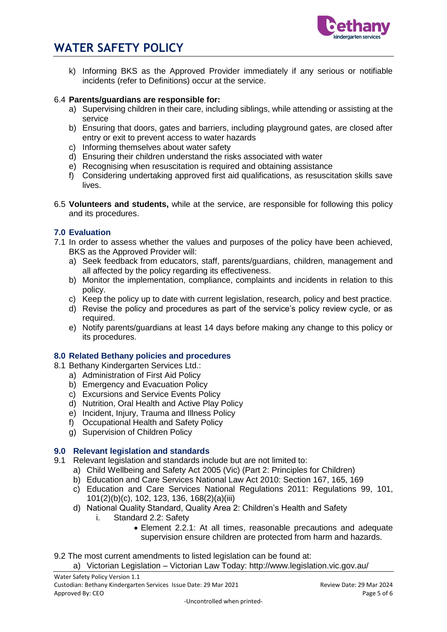

# **WATER SAFETY POLICY**

k) Informing BKS as the Approved Provider immediately if any serious or notifiable incidents (refer to Definitions) occur at the service.

## 6.4 **Parents/guardians are responsible for:**

- a) Supervising children in their care, including siblings, while attending or assisting at the service
- b) Ensuring that doors, gates and barriers, including playground gates, are closed after entry or exit to prevent access to water hazards
- c) Informing themselves about water safety
- d) Ensuring their children understand the risks associated with water
- e) Recognising when resuscitation is required and obtaining assistance
- f) Considering undertaking approved first aid qualifications, as resuscitation skills save lives.
- 6.5 **Volunteers and students,** while at the service, are responsible for following this policy and its procedures.

## **7.0 Evaluation**

- 7.1 In order to assess whether the values and purposes of the policy have been achieved, BKS as the Approved Provider will:
	- a) Seek feedback from educators, staff, parents/guardians, children, management and all affected by the policy regarding its effectiveness.
	- b) Monitor the implementation, compliance, complaints and incidents in relation to this policy.
	- c) Keep the policy up to date with current legislation, research, policy and best practice.
	- d) Revise the policy and procedures as part of the service's policy review cycle, or as required.
	- e) Notify parents/guardians at least 14 days before making any change to this policy or its procedures.

#### **8.0 Related Bethany policies and procedures**

- 8.1 Bethany Kindergarten Services Ltd.:
	- a) Administration of First Aid Policy
	- b) Emergency and Evacuation Policy
	- c) Excursions and Service Events Policy
	- d) Nutrition, Oral Health and Active Play Policy
	- e) Incident, Injury, Trauma and Illness Policy
	- f) Occupational Health and Safety Policy
	- g) Supervision of Children Policy

## **9.0 Relevant legislation and standards**

- 9.1 Relevant legislation and standards include but are not limited to:
	- a) Child Wellbeing and Safety Act 2005 (Vic) (Part 2: Principles for Children)
	- b) Education and Care Services National Law Act 2010: Section 167, 165, 169
	- c) Education and Care Services National Regulations 2011: Regulations 99, 101, 101(2)(b)(c), 102, 123, 136, 168(2)(a)(iii)
	- d) National Quality Standard, Quality Area 2: Children's Health and Safety
		- i. Standard 2.2: Safety
			- Element 2.2.1: At all times, reasonable precautions and adequate supervision ensure children are protected from harm and hazards.

9.2 The most current amendments to listed legislation can be found at: a) Victorian Legislation – Victorian Law Today: http://www.legislation.vic.gov.au/